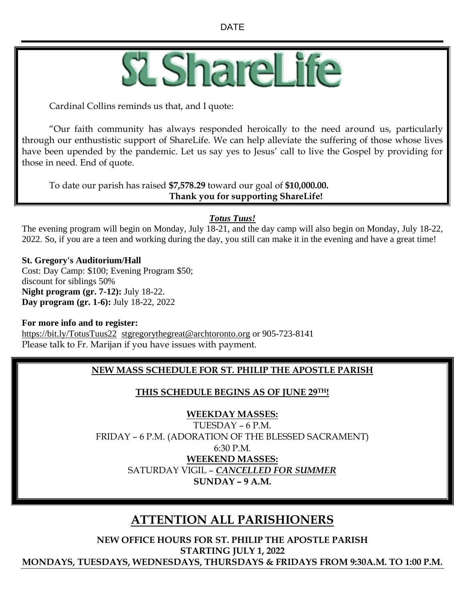

Cardinal Collins reminds us that, and I quote:

"Our faith community has always responded heroically to the need around us, particularly through our enthustistic support of ShareLife. We can help alleviate the suffering of those whose lives have been upended by the pandemic. Let us say yes to Jesus' call to live the Gospel by providing for those in need. End of quote.

To date our parish has raised **\$7,578.29** toward our goal of **\$10,000.00. Thank you for supporting ShareLife!**

### *Totus Tuus!*

The evening program will begin on Monday, July 18-21, and the day camp will also begin on Monday, July 18-22, 2022. So, if you are a teen and working during the day, you still can make it in the evening and have a great time!

#### **St. Gregory's Auditorium/Hall**

Cost: Day Camp: \$100; Evening Program \$50; discount for siblings 50% **Night program (gr. 7-12):** July 18-22. **Day program (gr. 1-6):** July 18-22, 2022

#### **For more info and to register:**

<https://bit.ly/TotusTuus22>[stgregorythegreat@archtoronto.org](mailto:stgregorythegreat@archtoronto.org) or 905-723-8141 Please talk to Fr. Marijan if you have issues with payment.

### **NEW MASS SCHEDULE FOR ST. PHILIP THE APOSTLE PARISH**

### **THIS SCHEDULE BEGINS AS OF JUNE 29TH!**

### **WEEKDAY MASSES:**

TUESDAY – 6 P.M. FRIDAY – 6 P.M. (ADORATION OF THE BLESSED SACRAMENT) 6:30 P.M. **WEEKEND MASSES:** SATURDAY VIGIL – *CANCELLED FOR SUMMER* **SUNDAY – 9 A.M.**

# **ATTENTION ALL PARISHIONERS**

**NEW OFFICE HOURS FOR ST. PHILIP THE APOSTLE PARISH STARTING JULY 1, 2022 MONDAYS, TUESDAYS, WEDNESDAYS, THURSDAYS & FRIDAYS FROM 9:30A.M. TO 1:00 P.M.**